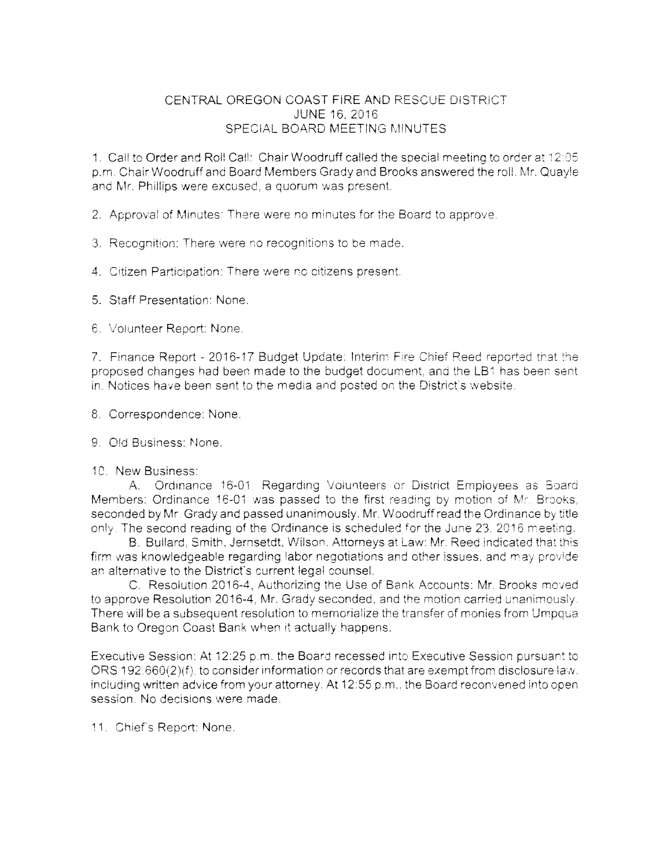## CENTRAL OREGON COAST FIRE AND RESCUE DISTRICT **JUNE 16, 2016** SPECIAL BOARD MEETING MINUTES

1. Call to Order and Roll Call: Chair Woodruff called the special meeting to order at 12:05 p.m. Chair Woodruff and Board Members Grady and Brooks answered the roll. Mr. Quayle and Mr. Phillips were excused, a quorum was present.

2. Approval of Minutes: There were no minutes for the Board to approve.

3. Recognition: There were no recognitions to be made.

4. Citizen Participation: There were no citizens present.

5. Staff Presentation: None.

6. Volunteer Report: None.

7. Finance Report - 2016-17 Budget Update: Interim Fire Chief Reed reported that the proposed changes had been made to the budget document, and the LB1 has been sent in. Notices have been sent to the media and posted on the District's website.

8. Correspondence: None.

9. Old Business: None.

10. New Business:

A. Ordinance 16-01, Regarding Volunteers or District Employees as Board Members: Ordinance 16-01 was passed to the first reading by motion of Mr. Brooks, seconded by Mr. Grady and passed unanimously. Mr. Woodruff read the Ordinance by title only. The second reading of the Ordinance is scheduled for the June 23, 2016 meeting.

B. Bullard, Smith, Jernsetdt, Wilson, Attorneys at Law: Mr. Reed indicated that this firm was knowledgeable regarding labor negotiations and other issues, and may provide an alternative to the District's current legal counsel.

C. Resolution 2016-4, Authorizing the Use of Bank Accounts: Mr. Brooks moved to approve Resolution 2016-4. Mr. Grady seconded, and the motion carried unanimously. There will be a subsequent resolution to memorialize the transfer of monies from Umpqua Bank to Oregon Coast Bank when it actually happens.

Executive Session: At 12:25 p.m. the Board recessed into Executive Session pursuant to ORS 192.660(2)(f), to consider information or records that are exempt from disclosure law. including written advice from your attorney. At 12:55 p.m., the Board reconvened into open session. No decisions were made.

11. Chief's Report: None.